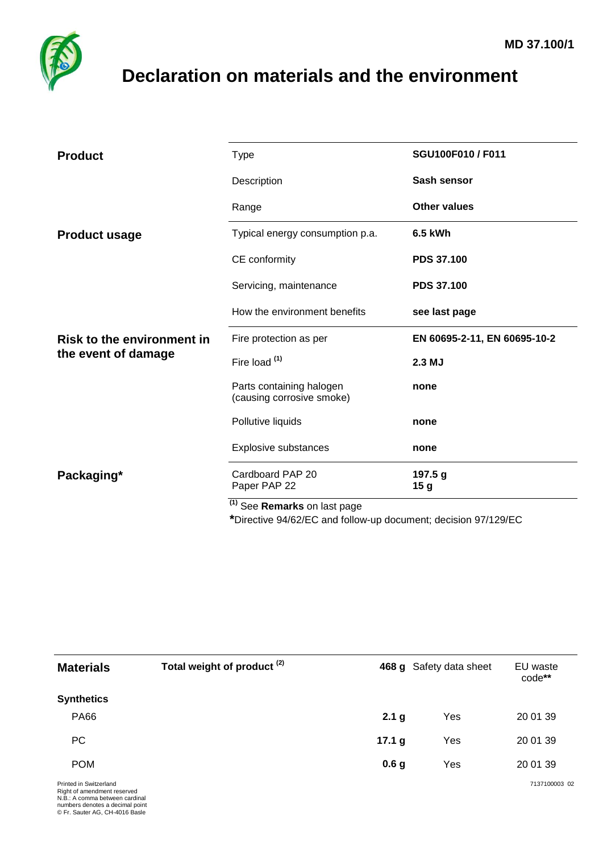

## <span id="page-0-0"></span>**Declaration on materials and the environment**

| <b>Product</b>                    | <b>Type</b>                                           | SGU100F010 / F011            |
|-----------------------------------|-------------------------------------------------------|------------------------------|
|                                   | Description                                           | Sash sensor                  |
|                                   | Range                                                 | <b>Other values</b>          |
| <b>Product usage</b>              | Typical energy consumption p.a.                       | 6.5 kWh                      |
|                                   | CE conformity                                         | <b>PDS 37.100</b>            |
|                                   | Servicing, maintenance                                | <b>PDS 37.100</b>            |
|                                   | How the environment benefits                          | see last page                |
| <b>Risk to the environment in</b> |                                                       |                              |
|                                   | Fire protection as per                                | EN 60695-2-11, EN 60695-10-2 |
| the event of damage               | Fire load (1)                                         | 2.3 MJ                       |
|                                   | Parts containing halogen<br>(causing corrosive smoke) | none                         |
|                                   | Pollutive liquids                                     | none                         |
|                                   | Explosive substances                                  | none                         |
| Packaging*                        | Cardboard PAP 20<br>Paper PAP 22                      | 197.5 g<br>15 <sub>g</sub>   |

**\***Directive 94/62/EC and follow-up document; decision 97/129/EC

| <b>Materials</b>                                                                                                                                             | Total weight of product <sup>(2)</sup> |                  | 468 g Safety data sheet | EU waste<br>code** |
|--------------------------------------------------------------------------------------------------------------------------------------------------------------|----------------------------------------|------------------|-------------------------|--------------------|
| <b>Synthetics</b>                                                                                                                                            |                                        |                  |                         |                    |
| <b>PA66</b>                                                                                                                                                  |                                        | 2.1 <sub>g</sub> | Yes                     | 20 01 39           |
| <b>PC</b>                                                                                                                                                    |                                        | 17.1 $g$         | Yes                     | 20 01 39           |
| <b>POM</b>                                                                                                                                                   |                                        | 0.6 <sub>g</sub> | Yes                     | 20 01 39           |
| Printed in Switzerland<br>Right of amendment reserved<br>N.B.: A comma between cardinal<br>numbers denotes a decimal point<br>© Fr. Sauter AG, CH-4016 Basle |                                        |                  |                         | 7137100003 02      |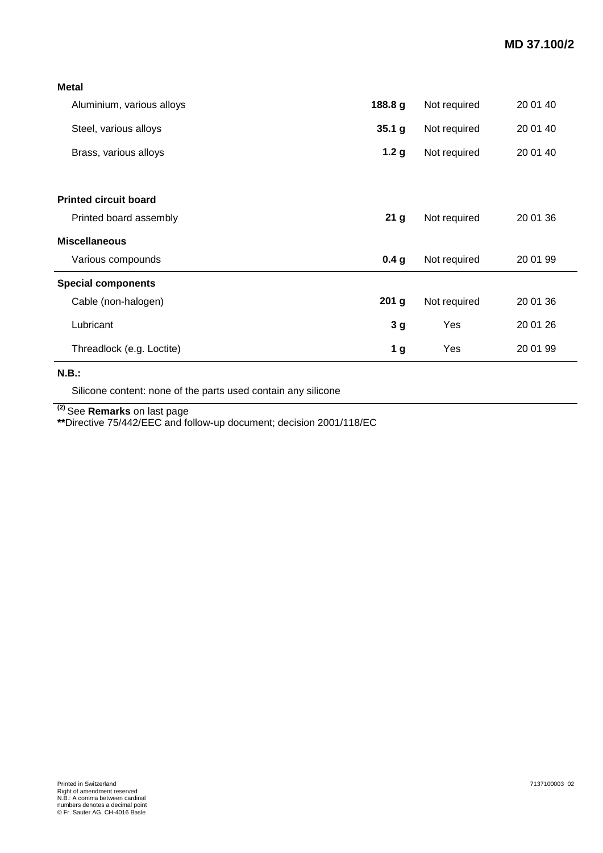| Aluminium, various alloys    | 188.8 g          | Not required | 20 01 40 |
|------------------------------|------------------|--------------|----------|
| Steel, various alloys        | 35.1 g           | Not required | 20 01 40 |
| Brass, various alloys        | 1.2 <sub>g</sub> | Not required | 20 01 40 |
|                              |                  |              |          |
| <b>Printed circuit board</b> |                  |              |          |
| Printed board assembly       | 21 <sub>g</sub>  | Not required | 20 01 36 |
| <b>Miscellaneous</b>         |                  |              |          |
| Various compounds            | 0.4 <sub>g</sub> | Not required | 20 01 99 |
| <b>Special components</b>    |                  |              |          |
| Cable (non-halogen)          | 201 <sub>g</sub> | Not required | 20 01 36 |
| Lubricant                    | 3 <sub>g</sub>   | Yes          | 20 01 26 |
| Threadlock (e.g. Loctite)    | 1 <sub>g</sub>   | Yes          | 20 01 99 |

## **N.B.:**

Silicone content: none of the parts used contain any silicone

**(2)** See **Remarks** on last page

**\*\***Directive 75/442/EEC and follow-up document; decision 2001/118/EC